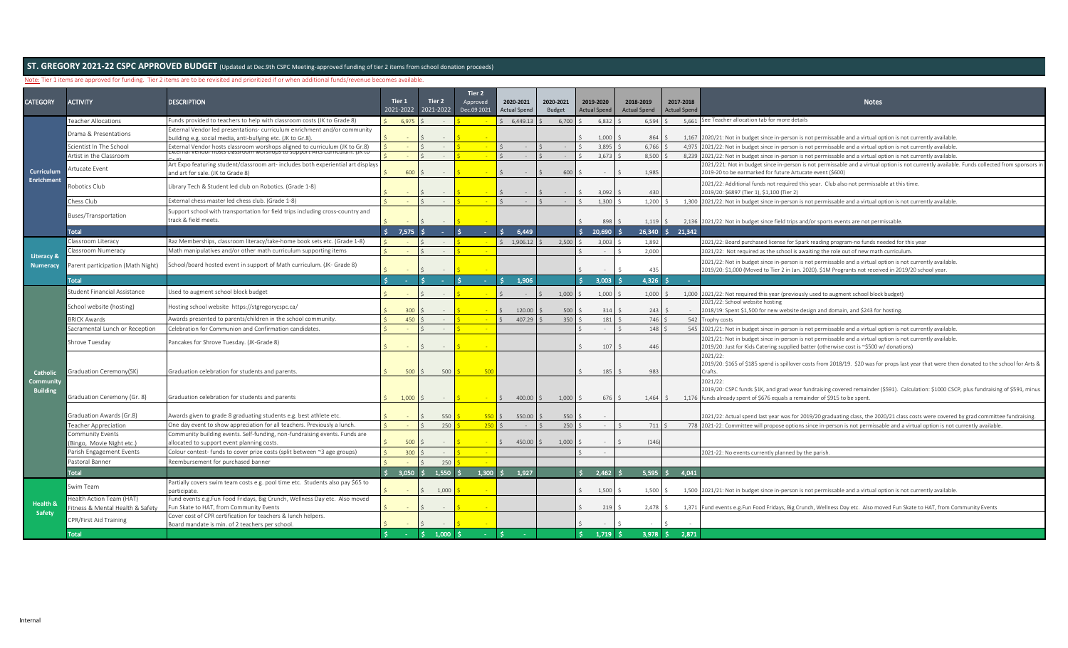## Note: Tier 1 items are approved for funding. Tier 2 items are to be revisited and prioritized if or when additional funds/revenue becomes available.

| <b>CATEGORY</b>             |                                              |                                                                                                                          | Tier 1           | Tier 2               | Tier 2                  |                                  |                     |                                  |                                  |                |                                  |                                                                                                                                                                                                                                     |
|-----------------------------|----------------------------------------------|--------------------------------------------------------------------------------------------------------------------------|------------------|----------------------|-------------------------|----------------------------------|---------------------|----------------------------------|----------------------------------|----------------|----------------------------------|-------------------------------------------------------------------------------------------------------------------------------------------------------------------------------------------------------------------------------------|
|                             | ACTIVITY                                     | <b>DESCRIPTION</b>                                                                                                       |                  | 2021-2022 2021-2022  | Approved<br>Dec.09 2021 | 2020-2021<br><b>Actual Spend</b> | 2020-2021<br>Budget | 2019-2020<br><b>Actual Spend</b> | 2018-2019<br><b>Actual Spend</b> |                | 2017-2018<br><b>Actual Spend</b> | <b>Notes</b>                                                                                                                                                                                                                        |
|                             | <b>Teacher Allocations</b>                   | Funds provided to teachers to help with classroom costs (JK to Grade 8)                                                  | 6,975            |                      |                         | 6,449.13                         | 6,700               | 6,832                            |                                  | 6,594          |                                  | 5,661 See Teacher allocation tab for more details                                                                                                                                                                                   |
|                             | Drama & Presentations                        | External Vendor led presentations- curriculum enrichment and/or community                                                |                  |                      |                         |                                  |                     |                                  |                                  |                |                                  |                                                                                                                                                                                                                                     |
|                             |                                              | ouilding e.g. social media, anti-bullying etc. (JK to Gr.8).                                                             |                  |                      |                         |                                  |                     | 1,000                            |                                  | 864            | 1.167                            | 2020/21: Not in budget since in-person is not permissable and a virtual option is not currently available                                                                                                                           |
|                             | Scientist In The School                      | External Vendor hosts classroom worshops aligned to curriculum (JK to Gr.8)                                              |                  |                      |                         |                                  |                     | 3,895                            |                                  | 6,766          | 4,975                            | 2021/22: Not in budget since in-person is not permissable and a virtual option is not currently available.                                                                                                                          |
|                             | Artist in the Classroom                      |                                                                                                                          |                  |                      |                         |                                  |                     | 3,673                            |                                  | $8,500$ \$     | 8,239                            | 2021/22: Not in budget since in-person is not permissable and a virtual option is not currently available.                                                                                                                          |
| <b>Curriculum</b>           | Artucate Event                               | Art Expo featuring student/classroom art- includes both experiential art displays<br>and art for sale. (JK to Grade 8)   | 600              |                      |                         |                                  | 600                 |                                  |                                  | 1,985          |                                  | 2021/221: Not in budget since in-person is not permissable and a virtual option is not currently available. Funds collected from sponsors in<br>2019-20 to be earmarked for future Artucate event (\$600)                           |
| <b>Enrichment</b>           | obotics Club                                 | Library Tech & Student led club on Robotics. (Grade 1-8)                                                                 |                  |                      |                         |                                  |                     | 3,092                            |                                  | 430            |                                  | 2021/22: Additional funds not required this year. Club also not permissable at this time.<br>2019/20: \$6897 (Tier 1), \$1,100 (Tier 2)                                                                                             |
|                             | Chess Club                                   | External chess master led chess club. (Grade 1-8)                                                                        |                  |                      |                         |                                  |                     | 1.300                            |                                  | 1,200          | 1.300                            | 2021/22: Not in budget since in-person is not permissable and a virtual option is not currently available.                                                                                                                          |
|                             | Buses/Transportation                         | Support school with transportation for field trips including cross-country and<br>track & field meets.                   |                  |                      |                         |                                  |                     | 898                              |                                  | 1,119          |                                  | 2,136 2021/22: Not in budget since field trips and/or sports events are not permissable.                                                                                                                                            |
|                             | Total                                        |                                                                                                                          | Ŝ.<br>$7,575$ \$ |                      |                         | 6,449                            |                     | 20,690                           |                                  | $26,340$ \$    | 21,342                           |                                                                                                                                                                                                                                     |
|                             | Classroom Literacy                           | Raz Memberships, classroom literacy/take-home book sets etc. (Grade 1-8)                                                 |                  |                      |                         | \$1,906.12                       | 2.500               | 3,003                            |                                  | 1,892          |                                  | 2021/22: Board purchased license for Spark reading program-no funds needed for this year                                                                                                                                            |
|                             | Classroom Numeracy                           | Math manipulatives and/or other math curriculum supporting items                                                         |                  |                      |                         |                                  |                     |                                  |                                  | 2,000          |                                  |                                                                                                                                                                                                                                     |
| <b>Literacy &amp;</b>       |                                              |                                                                                                                          |                  |                      |                         |                                  |                     |                                  |                                  |                |                                  | 2021/22: Not required as the school is awaiting the role out of new math curriculum                                                                                                                                                 |
| <b>Numeracy</b>             | Parent participation (Math Night)            | School/board hosted event in support of Math curriculum. (JK- Grade 8)                                                   |                  |                      |                         |                                  |                     |                                  |                                  | 435            |                                  | 2021/22: Not in budget since in-person is not permissable and a virtual option is not currently available.<br>2019/20: \$1,000 (Moved to Tier 2 in Jan. 2020). \$1M Progrants not received in 2019/20 school year.                  |
|                             | <b>Total</b>                                 |                                                                                                                          |                  |                      |                         | 1.906                            |                     | 3.003                            |                                  | $4.326$ $\leq$ |                                  |                                                                                                                                                                                                                                     |
|                             | Student Financial Assistance                 | Jsed to augment school block budget                                                                                      |                  |                      |                         |                                  | 1,000               | 1,000                            |                                  | 1,000          |                                  | 1,000 2021/22: Not required this year (previously used to augment school block budget)                                                                                                                                              |
|                             | School website (hosting)                     | Hosting school website https://stgregorycspc.ca/                                                                         | 300              |                      |                         | 120.00                           | 500                 | 314                              |                                  | 243            |                                  | 2021/22: School website hosting<br>2018/19: Spent \$1,500 for new website design and domain, and \$243 for hosting.                                                                                                                 |
|                             | <b>BRICK Awards</b>                          | Awards presented to parents/children in the school community.                                                            | 450              |                      |                         | 407.29                           | 350                 | 181                              |                                  | 746            | 542                              | Trophy costs                                                                                                                                                                                                                        |
|                             | Sacramental Lunch or Reception               | Celebration for Communion and Confirmation candidates.                                                                   |                  |                      |                         |                                  |                     |                                  |                                  | 148            | 545                              | 2021/21: Not in budget since in-person is not permissable and a virtual option is not currently available.                                                                                                                          |
|                             | Shrove Tuesday                               | Pancakes for Shrove Tuesday. (JK-Grade 8)                                                                                |                  |                      |                         |                                  |                     | 107                              |                                  | 446            |                                  | 2021/21: Not in budget since in-person is not permissable and a virtual option is not currently available.<br>2019/20: Just for Kids Catering supplied batter (otherwise cost is ~\$500 w/ donations)                               |
| <b>Catholic</b>             | Graduation Ceremony(SK)                      | Graduation celebration for students and parents                                                                          |                  |                      | 500                     |                                  |                     | 185                              |                                  | 983            |                                  | 2021/22:<br>2019/20: \$165 of \$185 spend is spillover costs from 2018/19. \$20 was for props last year that were then donated to the school for Arts &<br>Crafts.                                                                  |
| Communit<br><b>Building</b> | Graduation Ceremony (Gr. 8)                  | Graduation celebration for students and parents                                                                          | 1,000            |                      |                         | 400.00                           | 1,000               | 676                              |                                  | $1,464$ \$     |                                  | 2021/22:<br>2019/20: CSPC funds \$1K, and grad wear fundraising covered remainder (\$591). Calculation: \$1000 CSCP, plus fundraising of \$591, minus<br>1,176 funds already spent of \$676 equals a remainder of \$915 to be spent |
|                             | Graduation Awards (Gr.8)                     | Awards given to grade 8 graduating students e.g. best athlete etc.                                                       |                  | 550                  | 550                     | 550.00                           | 550                 |                                  |                                  |                |                                  | 2021/22: Actual spend last year was for 2019/20 graduating class, the 2020/21 class costs were covered by grad committee fundraising.                                                                                               |
|                             | Teacher Appreciation                         | One day event to show appreciation for all teachers. Previously a lunch.                                                 |                  | 250                  | 250                     |                                  | 250                 |                                  |                                  | 711            | 778                              | 2021-22: Committee will propose options since in-person is not permissable and a virtual option is not currently available.                                                                                                         |
|                             | Community Events<br>Bingo, Movie Night etc.) | Community building events. Self-funding, non-fundraising events. Funds are<br>allocated to support event planning costs. | 500              |                      |                         | 450.00                           | 1,000               |                                  |                                  | (146)          |                                  |                                                                                                                                                                                                                                     |
|                             | Parish Engagement Events                     | Colour contest- funds to cover prize costs (split between ~3 age groups)                                                 | 300              |                      |                         |                                  |                     |                                  |                                  |                |                                  | 2021-22: No events currently planned by the parish.                                                                                                                                                                                 |
|                             | Pastoral Banner                              | Reembursement for purchased banner                                                                                       |                  | 250                  |                         |                                  |                     |                                  |                                  |                |                                  |                                                                                                                                                                                                                                     |
|                             | <b>Total</b>                                 |                                                                                                                          | $3.050$ S        | 1.550                | 1.300 S                 | 1,927                            |                     |                                  | $2.462 \,$ \$                    | $5.595$ \$     | 4,041                            |                                                                                                                                                                                                                                     |
|                             | Swim Team                                    | Partially covers swim team costs e.g. pool time etc. Students also pay \$65 to                                           |                  | 1,000                |                         |                                  |                     | 1,500                            |                                  | $1,500$ \$     |                                  |                                                                                                                                                                                                                                     |
|                             | Health Action Team (HAT)                     | participate.<br>Fund events e.g.Fun Food Fridays, Big Crunch, Wellness Day etc. Also moved                               |                  |                      |                         |                                  |                     |                                  |                                  |                |                                  | 1,500 2021/21: Not in budget since in-person is not permissable and a virtual option is not currently available                                                                                                                     |
| <b>Health &amp;</b>         | itness & Mental Health & Safety              | Fun Skate to HAT, from Community Events                                                                                  |                  |                      |                         |                                  |                     | 219                              |                                  | 2,478          |                                  | 1,371 Fund events e.g.Fun Food Fridays, Big Crunch, Wellness Day etc. Also moved Fun Skate to HAT, from Community Events                                                                                                            |
| Safety                      | CPR/First Aid Training                       | Cover cost of CPR certification for teachers & lunch helpers                                                             |                  |                      |                         |                                  |                     |                                  |                                  |                |                                  |                                                                                                                                                                                                                                     |
|                             | Total                                        | Board mandate is min. of 2 teachers per school.                                                                          | $\sim 10$        | $1,000$ $\sim$<br>S. |                         | S.                               |                     |                                  | $1,719$ \$                       | $3,978$ \$     | 2,871                            |                                                                                                                                                                                                                                     |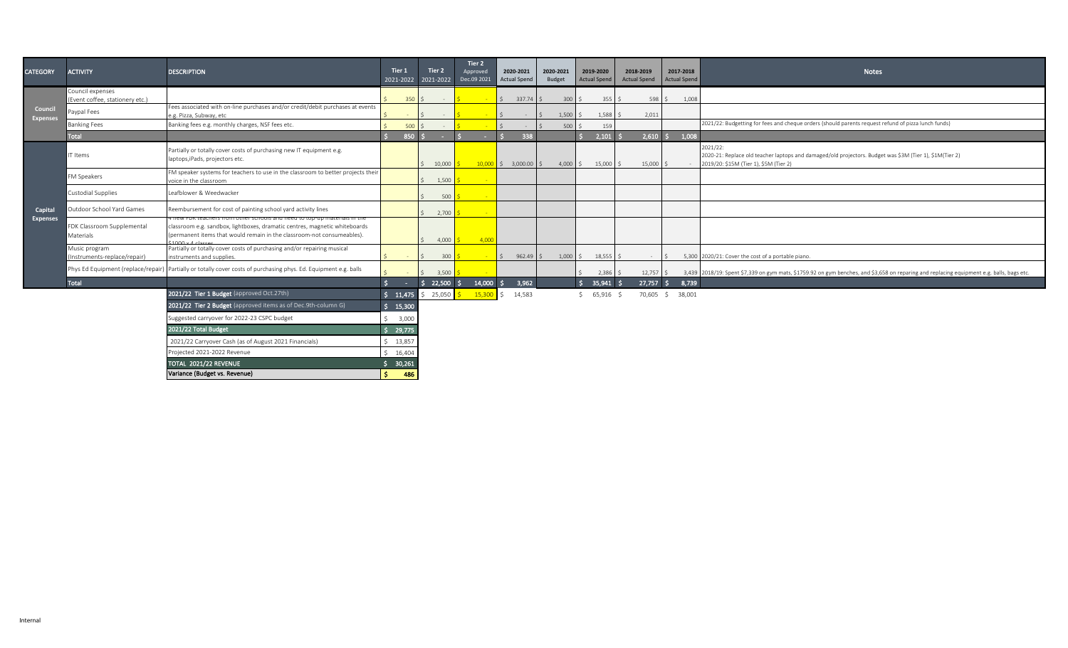| <b>CATEGORY</b>            | <b>ACTIVITY</b>                                     | <b>DESCRIPTION</b>                                                                                                                                                                                                                        | Tier 1                               | Tier 2         | Tier 2<br>Approved<br>2021-2022 2021-2022 Dec.09 2021 | 2020-2021<br>Actual Spend   | 2020-2021<br>Budget | 2019-2020<br><b>Actual Spend</b> | 2018-2019<br><b>Actual Spend</b> | 2017-2018<br><b>Actual Spend</b> | <b>Notes</b>                                                                                                                                                  |
|----------------------------|-----------------------------------------------------|-------------------------------------------------------------------------------------------------------------------------------------------------------------------------------------------------------------------------------------------|--------------------------------------|----------------|-------------------------------------------------------|-----------------------------|---------------------|----------------------------------|----------------------------------|----------------------------------|---------------------------------------------------------------------------------------------------------------------------------------------------------------|
|                            | Council expenses<br>(Event coffee, stationery etc.) |                                                                                                                                                                                                                                           | $350$ \$                             | $\sim 10^{-1}$ | <b>Contract</b>                                       | $\frac{1}{2}$ 337.74 \$     | 300S                | $355 \quad $$                    | $598 \quad$ \$                   | 1,008                            |                                                                                                                                                               |
| Council<br><b>Expenses</b> | Paypal Fees                                         | Fees associated with on-line purchases and/or credit/debit purchases at events<br>e.g. Pizza, Subway, etc                                                                                                                                 |                                      |                |                                                       |                             | $1,500$ \$          | $1,588$ \$                       | 2,011                            |                                  |                                                                                                                                                               |
|                            | <b>Banking Fees</b>                                 | Banking fees e.g. monthly charges, NSF fees etc.                                                                                                                                                                                          | 500 <sup>o</sup>                     |                |                                                       |                             | 500 <sup>°</sup>    | 159                              |                                  |                                  | 2021/22: Budgetting for fees and cheque orders (should parents request refund of pizza lunch funds)                                                           |
|                            | Total                                               |                                                                                                                                                                                                                                           | 850 5                                |                |                                                       | 338                         |                     | $2,101$ \$                       | $2,610$ \$                       | 1,008                            |                                                                                                                                                               |
|                            | IT Items                                            | Partially or totally cover costs of purchasing new IT equipment e.g.<br>laptops, iPads, projectors etc.                                                                                                                                   |                                      | 10,000         |                                                       | $10,000$ \$ 3,000.00 \$     | $4,000$ \$          | $15,000$ \$                      | $15,000$ \$                      |                                  | 2021/22:<br>2020-21: Replace old teacher laptops and damaged/old projectors. Budget was \$3M (Tier 1), \$1M(Tier 2)<br>2019/20: \$15M (Tier 1), \$5M (Tier 2) |
|                            | FM Speakers                                         | FM speaker systems for teachers to use in the classroom to better projects their<br>voice in the classroom                                                                                                                                |                                      | 1,500          |                                                       |                             |                     |                                  |                                  |                                  |                                                                                                                                                               |
|                            | Custodial Supplies                                  | Leafblower & Weedwacker                                                                                                                                                                                                                   |                                      | 500            |                                                       |                             |                     |                                  |                                  |                                  |                                                                                                                                                               |
| Capital                    | Outdoor School Yard Games                           | Reembursement for cost of painting school yard activity lines                                                                                                                                                                             |                                      | 2,700          |                                                       |                             |                     |                                  |                                  |                                  |                                                                                                                                                               |
| <b>Expenses</b>            | FDK Classroom Supplemental<br>Materials             | <u>Friew FDK teachers from other schools and need to top-up materials in the </u><br>classroom e.g. sandbox, lightboxes, dramatic centres, magnetic whiteboards<br>(permanent items that would remain in the classroom-not consumeables). |                                      | 4,000          | 4,000                                                 |                             |                     |                                  |                                  |                                  |                                                                                                                                                               |
|                            | Music program<br>(Instruments-replace/repair)       | Partially or totally cover costs of purchasing and/or repairing musical<br>instruments and supplies.                                                                                                                                      |                                      | 300            | <b>Co</b>                                             | $962.49$ \$<br>$\mathsf{S}$ | $1,000$ \$          | $18,555$ \$                      | $\sim$                           | $\zeta$                          | 5,300 2020/21: Cover the cost of a portable piano.                                                                                                            |
|                            | Phys Ed Equipment (replace/repair)                  | Partially or totally cover costs of purchasing phys. Ed. Equipment e.g. balls                                                                                                                                                             |                                      | 3,500          |                                                       |                             |                     | $2,386$ \$                       |                                  |                                  | 12,757 \$ 3,439 2018/19: Spent \$7,339 on gym mats, \$1759.92 on gym benches, and \$3,658 on reparing and replacing equipment e.g. balls, bags etc.           |
|                            | Total                                               |                                                                                                                                                                                                                                           | S.<br><b>Contract</b>                | $22,500$ \$    | $14,000$ \$                                           | 3,962                       |                     | $35,941$ \$                      |                                  | 27,757 \$ 8,739                  |                                                                                                                                                               |
|                            |                                                     | 2021/22 Tier 1 Budget (approved Oct.27th)                                                                                                                                                                                                 | $\frac{1}{2}$ \$ 11,475 \$ 25,050 \$ |                | 15,300                                                | 14,583<br>$\hat{S}$         |                     | $$65,916$ \$                     |                                  | 70,605 \$ 38,001                 |                                                                                                                                                               |
|                            |                                                     | 2021/22 Tier 2 Budget (approved items as of Dec.9th-column G)                                                                                                                                                                             | \$15,300                             |                |                                                       |                             |                     |                                  |                                  |                                  |                                                                                                                                                               |
|                            |                                                     | Suggested carryover for 2022-23 CSPC budget                                                                                                                                                                                               | 3,000                                |                |                                                       |                             |                     |                                  |                                  |                                  |                                                                                                                                                               |
|                            |                                                     | 2021/22 Total Budget                                                                                                                                                                                                                      | Š.<br>29,775                         |                |                                                       |                             |                     |                                  |                                  |                                  |                                                                                                                                                               |
|                            |                                                     | 2021/22 Carryover Cash (as of August 2021 Financials)                                                                                                                                                                                     | \$13,857                             |                |                                                       |                             |                     |                                  |                                  |                                  |                                                                                                                                                               |
|                            |                                                     | Projected 2021-2022 Revenue                                                                                                                                                                                                               | \$16,404                             |                |                                                       |                             |                     |                                  |                                  |                                  |                                                                                                                                                               |
|                            |                                                     | TOTAL 2021/22 REVENUE                                                                                                                                                                                                                     | \$30,261                             |                |                                                       |                             |                     |                                  |                                  |                                  |                                                                                                                                                               |
|                            |                                                     | Variance (Budget vs. Revenue)                                                                                                                                                                                                             | S.<br>486                            |                |                                                       |                             |                     |                                  |                                  |                                  |                                                                                                                                                               |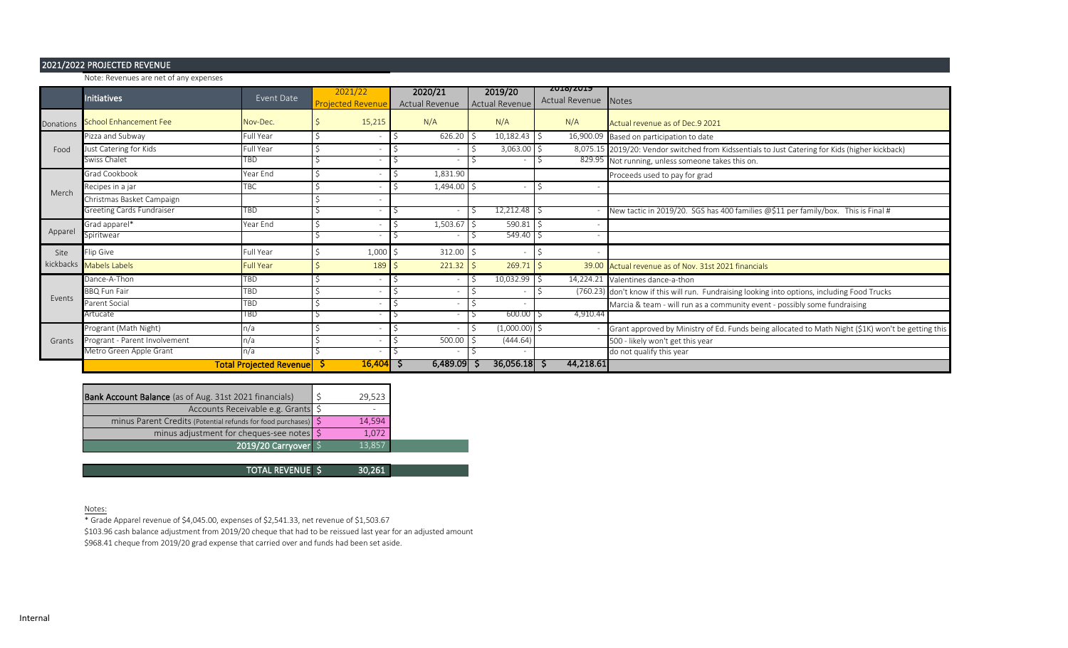## 2021/2022 PROJECTED REVENUE

|               | Note: Revenues are net of any expenses |                                |                                     |                           |                           |                                    |                                                                                                    |
|---------------|----------------------------------------|--------------------------------|-------------------------------------|---------------------------|---------------------------|------------------------------------|----------------------------------------------------------------------------------------------------|
|               | <b>Initiatives</b>                     | Event Date                     | 2021/22<br><b>Projected Revenue</b> | 2020/21<br>Actual Revenue | 2019/20<br>Actual Revenue | <b>SATO SATA</b><br>Actual Revenue | <b>Notes</b>                                                                                       |
| Donations     | School Enhancement Fee                 | Nov-Dec.                       | 15,215                              | N/A                       | N/A                       | N/A                                | Actual revenue as of Dec.9 2021                                                                    |
|               | Pizza and Subway                       | Full Year                      |                                     | 626.20                    | 10,182.43                 | 16,900.09<br>-S                    | Based on participation to date                                                                     |
| Food          | Just Catering for Kids                 | Full Year                      |                                     |                           | 3,063.00                  |                                    | 8,075.15 2019/20: Vendor switched from Kidssentials to Just Catering for Kids (higher kickback)    |
|               | Swiss Chalet                           | <b>TBD</b>                     |                                     | ٠                         |                           |                                    | 829.95 Not running, unless someone takes this on.                                                  |
|               | Grad Cookbook                          | Year End                       |                                     | 1,831.90                  |                           |                                    | Proceeds used to pay for grad                                                                      |
| Merch         | Recipes in a jar                       | TBC                            |                                     | 1,494.00                  |                           |                                    |                                                                                                    |
|               | Christmas Basket Campaign              |                                |                                     |                           |                           |                                    |                                                                                                    |
|               | Greeting Cards Fundraiser              | TBD                            |                                     | $\overline{\phantom{a}}$  | 12,212.48                 |                                    | New tactic in 2019/20. SGS has 400 families @\$11 per family/box. This is Final #                  |
|               | Grad apparel*                          | Year End                       |                                     | 1,503.67                  | 590.81                    | $\zeta$                            |                                                                                                    |
| Apparel       | Spiritwear                             |                                |                                     |                           | 549.40                    |                                    |                                                                                                    |
| Site          | Flip Give                              | Full Year                      | 1,000                               | 312.00                    |                           |                                    |                                                                                                    |
|               | kickbacks Mabels Labels                | <b>Full Year</b>               | 189                                 | 221.32                    | 269.71                    |                                    | 39.00 Actual revenue as of Nov. 31st 2021 financials                                               |
|               | Dance-A-Thon                           | TBD                            |                                     | $\overline{\phantom{a}}$  | 10,032.99                 | -S                                 | 14,224.21 Valentines dance-a-thon                                                                  |
| <b>Fvents</b> | <b>BBQ Fun Fair</b>                    | TBD                            |                                     | $\overline{\phantom{a}}$  |                           |                                    | (760.23) don't know if this will run. Fundraising looking into options, including Food Trucks      |
|               | Parent Social                          | TBD                            |                                     | $\overline{\phantom{a}}$  |                           |                                    | Marcia & team - will run as a community event - possibly some fundraising                          |
|               | Artucate                               | TBD                            |                                     | $\overline{\phantom{a}}$  | 600.00                    | 4,910.44                           |                                                                                                    |
|               | Progrant (Math Night)                  | n/a                            |                                     | ٠                         | $(1,000.00)$ \$           |                                    | Grant approved by Ministry of Ed. Funds being allocated to Math Night (\$1K) won't be getting this |
| Grants        | Progrant - Parent Involvement          | n/a                            |                                     | 500.00                    | (444.64)                  |                                    | 500 - likely won't get this year                                                                   |
|               | Metro Green Apple Grant                | n/a                            |                                     | $\overline{\phantom{a}}$  |                           |                                    | do not qualify this year                                                                           |
|               |                                        | <b>Total Projected Revenue</b> | 16,404                              | 6,489.09<br>১             | $36,056.18$ \$            | 44,218.61                          |                                                                                                    |

| <b>Bank Account Balance</b> (as of Aug. 31st 2021 financials)    | 29,523 |
|------------------------------------------------------------------|--------|
| Accounts Receivable e.g. Grants \$                               |        |
| minus Parent Credits (Potential refunds for food purchases)   \$ | 14,594 |
| minus adjustment for cheques-see notes \ \$                      | 1.072  |
| 2019/20 Carryover                                                | 13.857 |

30,261 TOTAL REVENUE \$

Notes:

\* Grade Apparel revenue of \$4,045.00, expenses of \$2,541.33, net revenue of \$1,503.67

\$103.96 cash balance adjustment from 2019/20 cheque that had to be reissued last year for an adjusted amount

\$968.41 cheque from 2019/20 grad expense that carried over and funds had been set aside.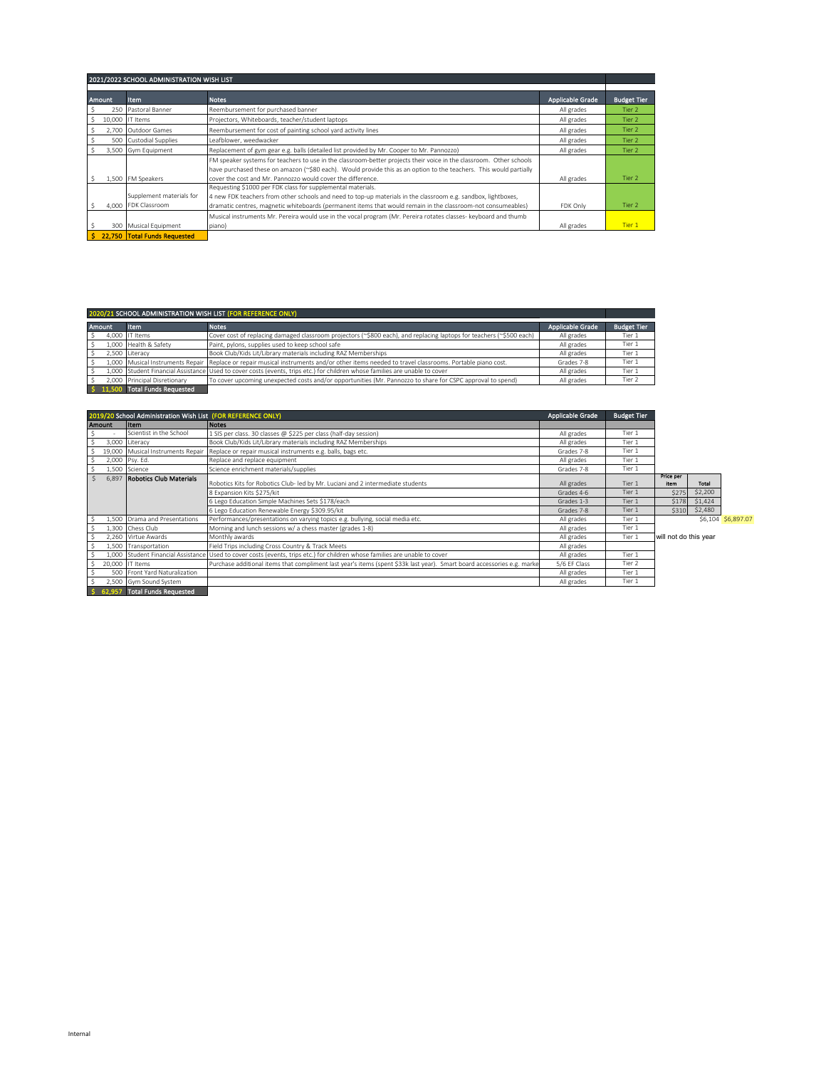|              |               | 2021/2022 SCHOOL ADMINISTRATION WISH LIST       |                                                                                                                                                                                                                                                                                                          |                  |                    |
|--------------|---------------|-------------------------------------------------|----------------------------------------------------------------------------------------------------------------------------------------------------------------------------------------------------------------------------------------------------------------------------------------------------------|------------------|--------------------|
|              | <b>Amount</b> | <b>Item</b>                                     | <b>Notes</b>                                                                                                                                                                                                                                                                                             | Applicable Grade | <b>Budget Tier</b> |
| S            |               | 250 Pastoral Banner                             | Reembursement for purchased banner                                                                                                                                                                                                                                                                       | All grades       | Tier 2             |
| S.           |               | 10,000 IT Items                                 | Projectors, Whiteboards, teacher/student laptops                                                                                                                                                                                                                                                         | All grades       | Tier 2             |
| \$           | 2,700         | Outdoor Games                                   | Reembursement for cost of painting school yard activity lines                                                                                                                                                                                                                                            | All grades       | Tier 2             |
| Ŝ            |               | 500 Custodial Supplies                          | Leafblower, weedwacker                                                                                                                                                                                                                                                                                   | All grades       | Tier 2             |
|              |               | 3,500 Gym Equipment                             | Replacement of gym gear e.g. balls (detailed list provided by Mr. Cooper to Mr. Pannozzo)                                                                                                                                                                                                                | All grades       | Tier 2             |
|              |               | 1,500 FM Speakers                               | FM speaker systems for teachers to use in the classroom-better projects their voice in the classroom. Other schools<br>have purchased these on amazon (~\$80 each). Would provide this as an option to the teachers. This would partially<br>cover the cost and Mr. Pannozzo would cover the difference. | All grades       | Tier 2             |
| -S           |               | Supplement materials for<br>4.000 FDK Classroom | Requesting \$1000 per FDK class for supplemental materials.<br>4 new FDK teachers from other schools and need to top-up materials in the classroom e.g. sandbox, lightboxes,<br>dramatic centres, magnetic whiteboards (permanent items that would remain in the classroom-not consumeables)             | FDK Only         | Tier 2             |
| <sub>S</sub> |               | 300 Musical Equipment                           | Musical instruments Mr. Pereira would use in the vocal program (Mr. Pereira rotates classes- keyboard and thumb<br>piano)                                                                                                                                                                                | All grades       | Tier 1             |
| Ś.           |               | 22,750 Total Funds Requested                    |                                                                                                                                                                                                                                                                                                          |                  |                    |

|               |                                 | 2020/21 SCHOOL ADMINISTRATION WISH LIST (FOR REFERENCE ONLY)                                                                                |                  |                    |
|---------------|---------------------------------|---------------------------------------------------------------------------------------------------------------------------------------------|------------------|--------------------|
| <b>Amount</b> | <b>Item</b>                     | <b>Notes</b>                                                                                                                                | Applicable Grade | <b>Budget Tier</b> |
| - S           | 4.000 IT Items                  | Cover cost of replacing damaged classroom projectors (~\$800 each), and replacing laptops for teachers (~\$500 each)                        | All grades       | Tier 1             |
| - S           | 1.000 Health & Safety           | Paint, pylons, supplies used to keep school safe                                                                                            | All grades       | Tier 1             |
|               | 2.500 Literacy                  | Book Club/Kids Lit/Library materials including RAZ Memberships                                                                              | All grades       | Tier 1             |
|               |                                 | 1,000 Musical Instruments Repair Replace or repair musical instruments and/or other items needed to travel classrooms. Portable piano cost. | Grades 7-8       | Tier 1             |
|               |                                 | 1,000 Student Financial Assistance Used to cover costs (events, trips etc.) for children whose families are unable to cover                 | All grades       | Tier 1             |
|               | 2.000 Principal Disretionary    | To cover upcoming unexpected costs and/or opportunities (Mr. Pannozzo to share for CSPC approval to spend)                                  | All grades       | Tier 2             |
|               | \$ 11,500 Total Funds Requested |                                                                                                                                             |                  |                    |

|    |        | 2019/20 School Administration Wish List (FOR REFERENCE ONLY) |                                                                                                                             | <b>Applicable Grade</b> | <b>Budget Tier</b> |                       |              |                    |
|----|--------|--------------------------------------------------------------|-----------------------------------------------------------------------------------------------------------------------------|-------------------------|--------------------|-----------------------|--------------|--------------------|
|    | Amount | <b>Item</b>                                                  | <b>Notes</b>                                                                                                                |                         |                    |                       |              |                    |
|    |        | Scientist in the School                                      | 1 SIS per class. 30 classes @ \$225 per class (half-day session)                                                            | All grades              | Tier 1             |                       |              |                    |
|    |        | 3,000 Literacy                                               | Book Club/Kids Lit/Library materials including RAZ Memberships                                                              | All grades              | Tier 1             |                       |              |                    |
|    |        | 19,000 Musical Instruments Repair                            | Replace or repair musical instruments e.g. balls, bags etc.                                                                 | Grades 7-8              | Tier 1             |                       |              |                    |
|    |        | 2,000 Psy. Ed.                                               | Replace and replace equipment                                                                                               | All grades              | Tier 1             |                       |              |                    |
| Ŝ. |        | 1,500 Science                                                | Science enrichment materials/supplies                                                                                       | Grades 7-8              | Tier 1             |                       |              |                    |
|    | 6,897  | <b>Robotics Club Materials</b>                               | Robotics Kits for Robotics Club- led by Mr. Luciani and 2 intermediate students                                             | All grades              | Tier 1             | Price per<br>item     | <b>Total</b> |                    |
|    |        |                                                              | 8 Expansion Kits \$275/kit                                                                                                  | Grades 4-6              | Tier 1             | \$275                 | \$2,200      |                    |
|    |        |                                                              | 6 Lego Education Simple Machines Sets \$178/each                                                                            | Grades 1-3              | Tier 1             | <b>S178</b>           | \$1,424      |                    |
|    |        |                                                              | 6 Lego Education Renewable Energy \$309.95/kit                                                                              | Grades 7-8              | Tier 1             | \$310                 | \$2,480      |                    |
|    |        | 1,500 Drama and Presentations                                | Performances/presentations on varying topics e.g. bullying, social media etc.                                               | All grades              | Tier 1             |                       |              | \$6,104 \$6,897.07 |
|    |        | 1,300 Chess Club                                             | Morning and lunch sessions w/ a chess master (grades 1-8)                                                                   | All grades              | Tier 1             |                       |              |                    |
|    |        | 2,260 Virtue Awards                                          | Monthly awards                                                                                                              | All grades              | Tier 1             | will not do this year |              |                    |
|    |        | 1,500 Transportation                                         | Field Trips including Cross Country & Track Meets                                                                           | All grades              |                    |                       |              |                    |
|    |        |                                                              | 1,000 Student Financial Assistance Used to cover costs (events, trips etc.) for children whose families are unable to cover | All grades              | Tier 1             |                       |              |                    |
|    |        | 20,000 IT Items                                              | Purchase additional items that compliment last year's items (spent \$33k last year). Smart board accessories e.g. marke     | 5/6 EF Class            | Tier 2             |                       |              |                    |
|    |        | 500 Front Yard Naturalization                                |                                                                                                                             | All grades              | Tier 1             |                       |              |                    |
|    |        | 2,500 Gym Sound System                                       |                                                                                                                             | All grades              | Tier 1             |                       |              |                    |
|    |        | <b>Total Funds Requested</b>                                 |                                                                                                                             |                         |                    |                       |              |                    |